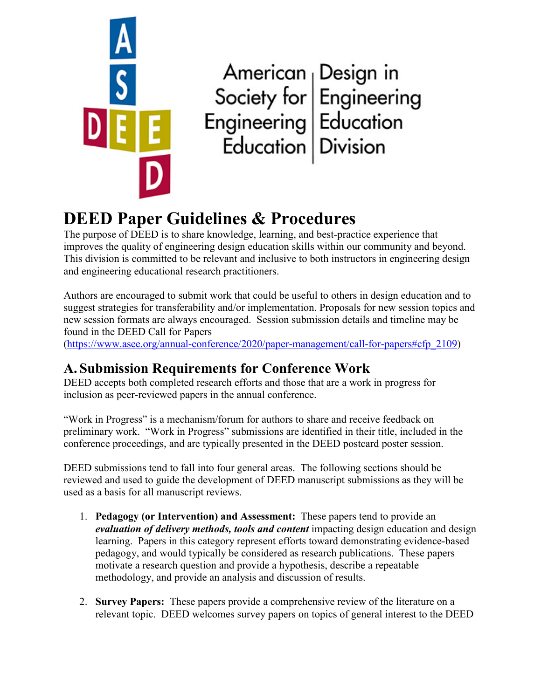

American<br>
Society for<br>
Engineering<br>
Engineering<br>
Education<br>
Division

# **DEED Paper Guidelines & Procedures**

The purpose of DEED is to share knowledge, learning, and best-practice experience that improves the quality of engineering design education skills within our community and beyond. This division is committed to be relevant and inclusive to both instructors in engineering design and engineering educational research practitioners.

Authors are encouraged to submit work that could be useful to others in design education and to suggest strategies for transferability and/or implementation. Proposals for new session topics and new session formats are always encouraged. Session submission details and timeline may be found in the DEED Call for Papers

[\(https://www.asee.org/annual-conference/2020/paper-management/call-for-papers#cfp\\_2109\)](https://www.asee.org/annual-conference/2020/paper-management/call-for-papers#cfp_2109)

## **A. Submission Requirements for Conference Work**

DEED accepts both completed research efforts and those that are a work in progress for inclusion as peer-reviewed papers in the annual conference.

"Work in Progress" is a mechanism/forum for authors to share and receive feedback on preliminary work. "Work in Progress" submissions are identified in their title, included in the conference proceedings, and are typically presented in the DEED postcard poster session.

DEED submissions tend to fall into four general areas. The following sections should be reviewed and used to guide the development of DEED manuscript submissions as they will be used as a basis for all manuscript reviews.

- 1. **Pedagogy (or Intervention) and Assessment:** These papers tend to provide an *evaluation of delivery methods, tools and content* impacting design education and design learning. Papers in this category represent efforts toward demonstrating evidence-based pedagogy, and would typically be considered as research publications. These papers motivate a research question and provide a hypothesis, describe a repeatable methodology, and provide an analysis and discussion of results.
- 2. **Survey Papers:** These papers provide a comprehensive review of the literature on a relevant topic. DEED welcomes survey papers on topics of general interest to the DEED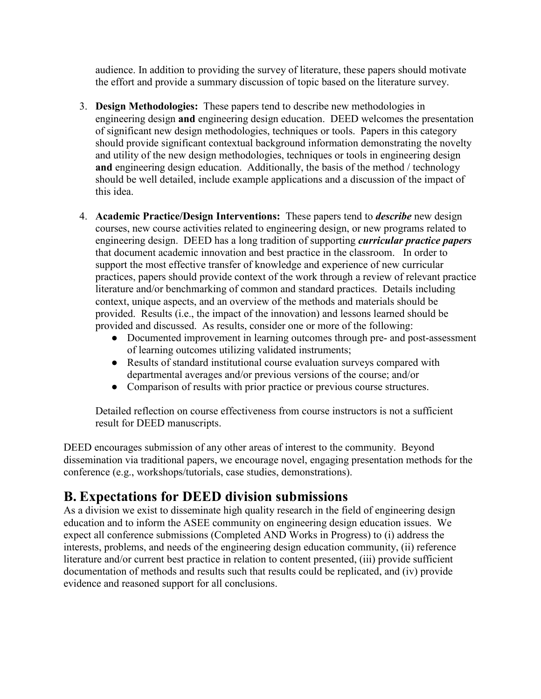audience. In addition to providing the survey of literature, these papers should motivate the effort and provide a summary discussion of topic based on the literature survey.

- 3. **Design Methodologies:** These papers tend to describe new methodologies in engineering design **and** engineering design education. DEED welcomes the presentation of significant new design methodologies, techniques or tools. Papers in this category should provide significant contextual background information demonstrating the novelty and utility of the new design methodologies, techniques or tools in engineering design **and** engineering design education. Additionally, the basis of the method / technology should be well detailed, include example applications and a discussion of the impact of this idea.
- 4. **Academic Practice/Design Interventions:** These papers tend to *describe* new design courses, new course activities related to engineering design, or new programs related to engineering design.DEED has a long tradition of supporting *curricular practice papers* that document academic innovation and best practice in the classroom. In order to support the most effective transfer of knowledge and experience of new curricular practices, papers should provide context of the work through a review of relevant practice literature and/or benchmarking of common and standard practices. Details including context, unique aspects, and an overview of the methods and materials should be provided. Results (i.e., the impact of the innovation) and lessons learned should be provided and discussed. As results, consider one or more of the following:
	- Documented improvement in learning outcomes through pre- and post-assessment of learning outcomes utilizing validated instruments;
	- Results of standard institutional course evaluation surveys compared with departmental averages and/or previous versions of the course; and/or
	- Comparison of results with prior practice or previous course structures.

Detailed reflection on course effectiveness from course instructors is not a sufficient result for DEED manuscripts.

DEED encourages submission of any other areas of interest to the community. Beyond dissemination via traditional papers, we encourage novel, engaging presentation methods for the conference (e.g., workshops/tutorials, case studies, demonstrations).

#### **B. Expectations for DEED division submissions**

As a division we exist to disseminate high quality research in the field of engineering design education and to inform the ASEE community on engineering design education issues. We expect all conference submissions (Completed AND Works in Progress) to (i) address the interests, problems, and needs of the engineering design education community, (ii) reference literature and/or current best practice in relation to content presented, (iii) provide sufficient documentation of methods and results such that results could be replicated, and (iv) provide evidence and reasoned support for all conclusions.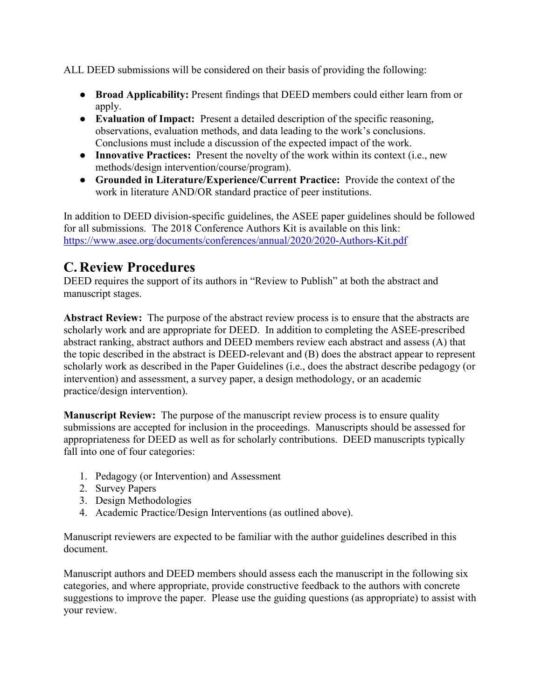ALL DEED submissions will be considered on their basis of providing the following:

- **Broad Applicability:** Present findings that DEED members could either learn from or apply.
- **Evaluation of Impact:** Present a detailed description of the specific reasoning, observations, evaluation methods, and data leading to the work's conclusions. Conclusions must include a discussion of the expected impact of the work.
- **Innovative Practices:** Present the novelty of the work within its context (i.e., new methods/design intervention/course/program).
- **Grounded in Literature/Experience/Current Practice:** Provide the context of the work in literature AND/OR standard practice of peer institutions.

In addition to DEED division-specific guidelines, the ASEE paper guidelines should be followed for all submissions. The 2018 Conference Authors Kit is available on this link: <https://www.asee.org/documents/conferences/annual/2020/2020-Authors-Kit.pdf>

### **C. Review Procedures**

DEED requires the support of its authors in "Review to Publish" at both the abstract and manuscript stages.

**Abstract Review:** The purpose of the abstract review process is to ensure that the abstracts are scholarly work and are appropriate for DEED. In addition to completing the ASEE-prescribed abstract ranking, abstract authors and DEED members review each abstract and assess (A) that the topic described in the abstract is DEED-relevant and (B) does the abstract appear to represent scholarly work as described in the Paper Guidelines (i.e., does the abstract describe pedagogy (or intervention) and assessment, a survey paper, a design methodology, or an academic practice/design intervention).

**Manuscript Review:** The purpose of the manuscript review process is to ensure quality submissions are accepted for inclusion in the proceedings. Manuscripts should be assessed for appropriateness for DEED as well as for scholarly contributions. DEED manuscripts typically fall into one of four categories:

- 1. Pedagogy (or Intervention) and Assessment
- 2. Survey Papers
- 3. Design Methodologies
- 4. Academic Practice/Design Interventions (as outlined above).

Manuscript reviewers are expected to be familiar with the author guidelines described in this document.

Manuscript authors and DEED members should assess each the manuscript in the following six categories, and where appropriate, provide constructive feedback to the authors with concrete suggestions to improve the paper. Please use the guiding questions (as appropriate) to assist with your review.